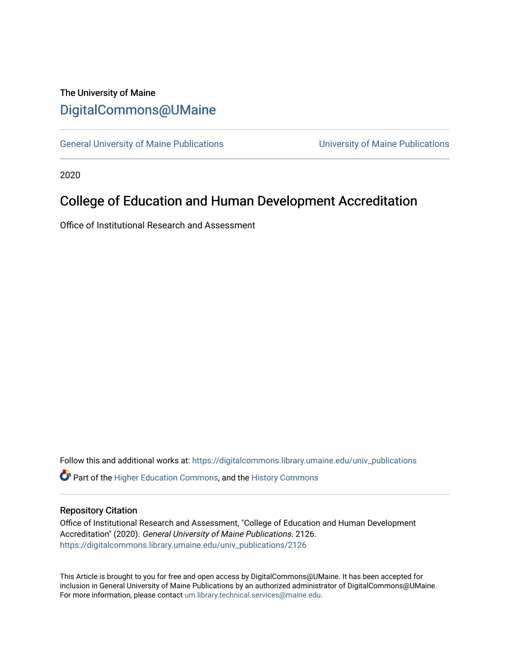## The University of Maine [DigitalCommons@UMaine](https://digitalcommons.library.umaine.edu/)

[General University of Maine Publications](https://digitalcommons.library.umaine.edu/univ_publications) [University of Maine Publications](https://digitalcommons.library.umaine.edu/umaine_publications) 

2020

# College of Education and Human Development Accreditation

Office of Institutional Research and Assessment

Follow this and additional works at: [https://digitalcommons.library.umaine.edu/univ\\_publications](https://digitalcommons.library.umaine.edu/univ_publications?utm_source=digitalcommons.library.umaine.edu%2Funiv_publications%2F2126&utm_medium=PDF&utm_campaign=PDFCoverPages) 

**C** Part of the [Higher Education Commons,](http://network.bepress.com/hgg/discipline/1245?utm_source=digitalcommons.library.umaine.edu%2Funiv_publications%2F2126&utm_medium=PDF&utm_campaign=PDFCoverPages) and the [History Commons](http://network.bepress.com/hgg/discipline/489?utm_source=digitalcommons.library.umaine.edu%2Funiv_publications%2F2126&utm_medium=PDF&utm_campaign=PDFCoverPages)

### Repository Citation

Office of Institutional Research and Assessment, "College of Education and Human Development Accreditation" (2020). General University of Maine Publications. 2126. [https://digitalcommons.library.umaine.edu/univ\\_publications/2126](https://digitalcommons.library.umaine.edu/univ_publications/2126?utm_source=digitalcommons.library.umaine.edu%2Funiv_publications%2F2126&utm_medium=PDF&utm_campaign=PDFCoverPages)

This Article is brought to you for free and open access by DigitalCommons@UMaine. It has been accepted for inclusion in General University of Maine Publications by an authorized administrator of DigitalCommons@UMaine. For more information, please contact [um.library.technical.services@maine.edu](mailto:um.library.technical.services@maine.edu).